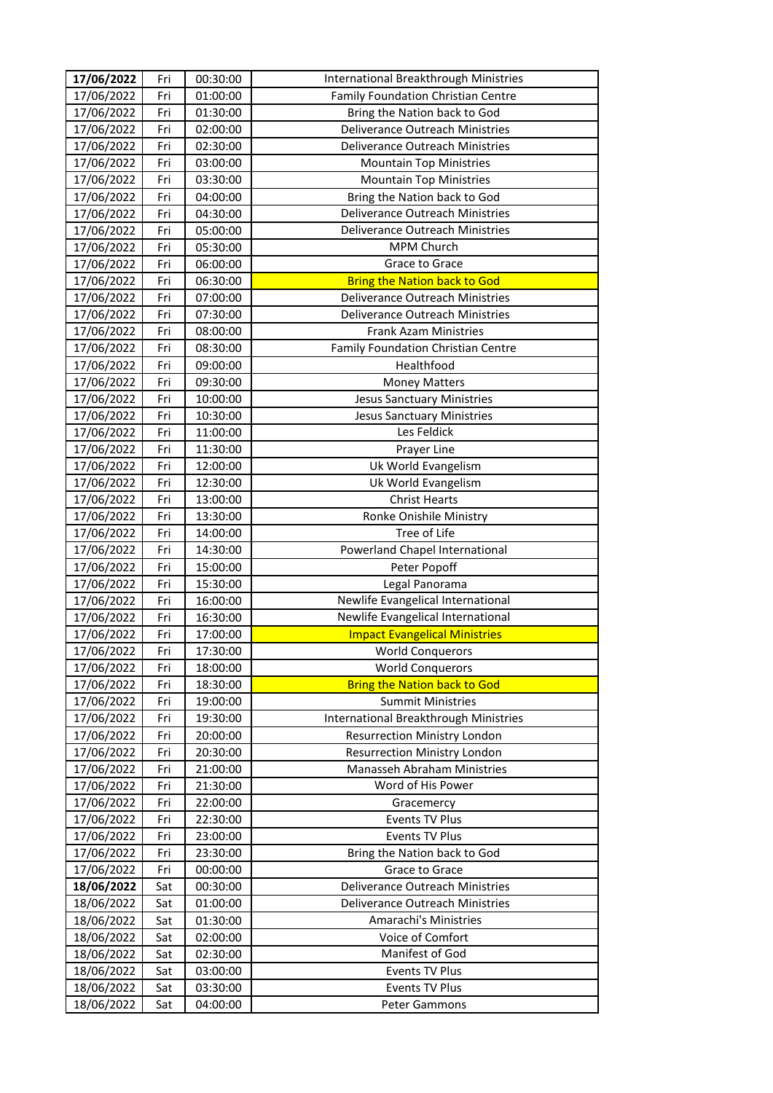| 17/06/2022 | Fri | 00:30:00 | International Breakthrough Ministries        |
|------------|-----|----------|----------------------------------------------|
| 17/06/2022 | Fri | 01:00:00 | Family Foundation Christian Centre           |
| 17/06/2022 | Fri | 01:30:00 | Bring the Nation back to God                 |
| 17/06/2022 | Fri | 02:00:00 | Deliverance Outreach Ministries              |
| 17/06/2022 | Fri | 02:30:00 | Deliverance Outreach Ministries              |
| 17/06/2022 | Fri | 03:00:00 | <b>Mountain Top Ministries</b>               |
| 17/06/2022 | Fri | 03:30:00 | <b>Mountain Top Ministries</b>               |
| 17/06/2022 | Fri | 04:00:00 | Bring the Nation back to God                 |
| 17/06/2022 | Fri | 04:30:00 | <b>Deliverance Outreach Ministries</b>       |
| 17/06/2022 | Fri | 05:00:00 | Deliverance Outreach Ministries              |
| 17/06/2022 | Fri | 05:30:00 | MPM Church                                   |
| 17/06/2022 | Fri | 06:00:00 | Grace to Grace                               |
| 17/06/2022 | Fri | 06:30:00 | <b>Bring the Nation back to God</b>          |
| 17/06/2022 | Fri | 07:00:00 | Deliverance Outreach Ministries              |
| 17/06/2022 | Fri | 07:30:00 | Deliverance Outreach Ministries              |
| 17/06/2022 | Fri | 08:00:00 | <b>Frank Azam Ministries</b>                 |
| 17/06/2022 | Fri | 08:30:00 | Family Foundation Christian Centre           |
| 17/06/2022 | Fri | 09:00:00 | Healthfood                                   |
| 17/06/2022 | Fri | 09:30:00 | <b>Money Matters</b>                         |
| 17/06/2022 | Fri | 10:00:00 | <b>Jesus Sanctuary Ministries</b>            |
| 17/06/2022 | Fri | 10:30:00 | <b>Jesus Sanctuary Ministries</b>            |
| 17/06/2022 | Fri | 11:00:00 | Les Feldick                                  |
| 17/06/2022 | Fri | 11:30:00 | Prayer Line                                  |
| 17/06/2022 | Fri | 12:00:00 | Uk World Evangelism                          |
| 17/06/2022 | Fri | 12:30:00 | Uk World Evangelism                          |
| 17/06/2022 | Fri | 13:00:00 | <b>Christ Hearts</b>                         |
| 17/06/2022 | Fri | 13:30:00 | Ronke Onishile Ministry                      |
| 17/06/2022 | Fri | 14:00:00 | Tree of Life                                 |
| 17/06/2022 | Fri | 14:30:00 | Powerland Chapel International               |
| 17/06/2022 | Fri | 15:00:00 | Peter Popoff                                 |
| 17/06/2022 | Fri | 15:30:00 | Legal Panorama                               |
| 17/06/2022 | Fri | 16:00:00 | Newlife Evangelical International            |
| 17/06/2022 | Fri | 16:30:00 | Newlife Evangelical International            |
| 17/06/2022 | Fri | 17:00:00 | <b>Impact Evangelical Ministries</b>         |
| 17/06/2022 | Fri | 17:30:00 | <b>World Conquerors</b>                      |
| 17/06/2022 | Fri | 18:00:00 | <b>World Conquerors</b>                      |
| 17/06/2022 | Fri | 18:30:00 | <b>Bring the Nation back to God</b>          |
| 17/06/2022 | Fri | 19:00:00 | <b>Summit Ministries</b>                     |
| 17/06/2022 | Fri | 19:30:00 | <b>International Breakthrough Ministries</b> |
| 17/06/2022 | Fri | 20:00:00 | <b>Resurrection Ministry London</b>          |
| 17/06/2022 | Fri | 20:30:00 | <b>Resurrection Ministry London</b>          |
| 17/06/2022 | Fri | 21:00:00 | Manasseh Abraham Ministries                  |
| 17/06/2022 | Fri | 21:30:00 | Word of His Power                            |
| 17/06/2022 | Fri | 22:00:00 | Gracemercy                                   |
| 17/06/2022 | Fri | 22:30:00 | Events TV Plus                               |
| 17/06/2022 | Fri | 23:00:00 | Events TV Plus                               |
| 17/06/2022 | Fri | 23:30:00 | Bring the Nation back to God                 |
| 17/06/2022 | Fri | 00:00:00 | Grace to Grace                               |
| 18/06/2022 | Sat | 00:30:00 | Deliverance Outreach Ministries              |
| 18/06/2022 | Sat | 01:00:00 | <b>Deliverance Outreach Ministries</b>       |
| 18/06/2022 | Sat | 01:30:00 | Amarachi's Ministries                        |
| 18/06/2022 | Sat | 02:00:00 | Voice of Comfort                             |
| 18/06/2022 | Sat | 02:30:00 | Manifest of God                              |
| 18/06/2022 | Sat | 03:00:00 | Events TV Plus                               |
| 18/06/2022 | Sat | 03:30:00 | Events TV Plus                               |
| 18/06/2022 | Sat | 04:00:00 | Peter Gammons                                |
|            |     |          |                                              |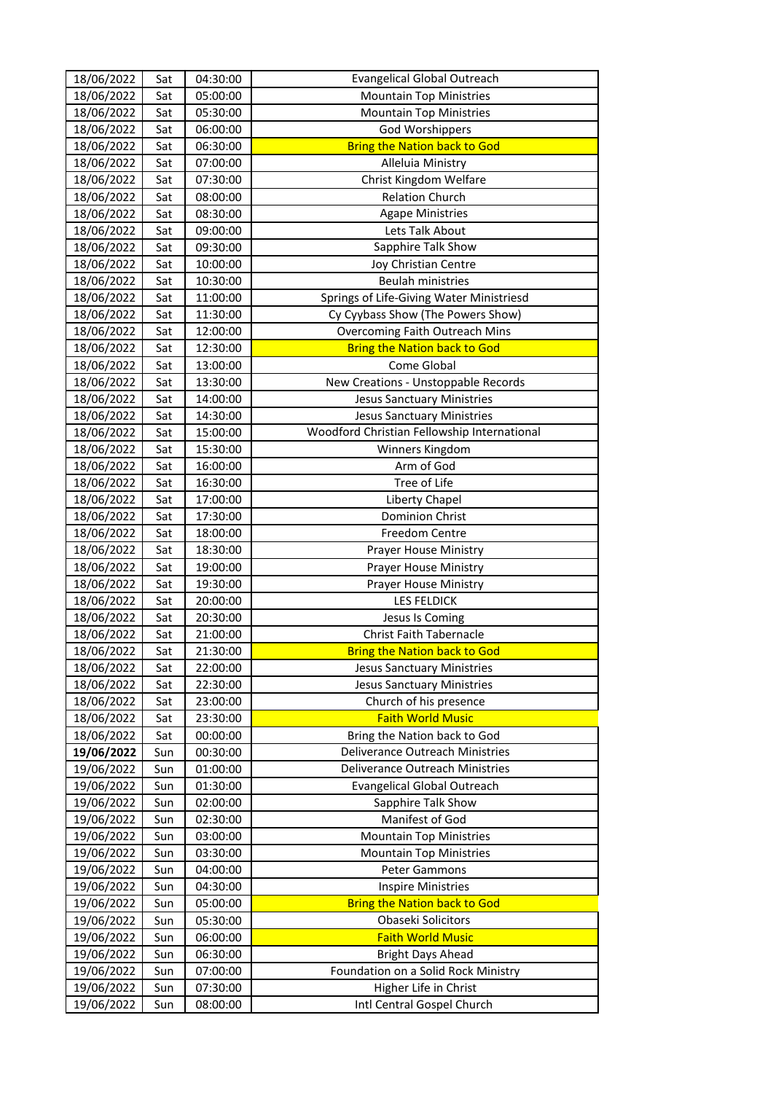| 18/06/2022 | Sat | 04:30:00 | <b>Evangelical Global Outreach</b>          |
|------------|-----|----------|---------------------------------------------|
| 18/06/2022 | Sat | 05:00:00 | <b>Mountain Top Ministries</b>              |
| 18/06/2022 | Sat | 05:30:00 | <b>Mountain Top Ministries</b>              |
| 18/06/2022 | Sat | 06:00:00 | <b>God Worshippers</b>                      |
| 18/06/2022 | Sat | 06:30:00 | <b>Bring the Nation back to God</b>         |
| 18/06/2022 | Sat | 07:00:00 | Alleluia Ministry                           |
| 18/06/2022 | Sat | 07:30:00 | Christ Kingdom Welfare                      |
| 18/06/2022 | Sat | 08:00:00 | <b>Relation Church</b>                      |
| 18/06/2022 | Sat | 08:30:00 | <b>Agape Ministries</b>                     |
| 18/06/2022 | Sat | 09:00:00 | Lets Talk About                             |
| 18/06/2022 | Sat | 09:30:00 | Sapphire Talk Show                          |
| 18/06/2022 | Sat | 10:00:00 | Joy Christian Centre                        |
| 18/06/2022 | Sat | 10:30:00 | Beulah ministries                           |
| 18/06/2022 | Sat | 11:00:00 | Springs of Life-Giving Water Ministriesd    |
| 18/06/2022 | Sat | 11:30:00 | Cy Cyybass Show (The Powers Show)           |
| 18/06/2022 | Sat | 12:00:00 | Overcoming Faith Outreach Mins              |
| 18/06/2022 | Sat | 12:30:00 | <b>Bring the Nation back to God</b>         |
| 18/06/2022 | Sat | 13:00:00 | Come Global                                 |
| 18/06/2022 | Sat | 13:30:00 | New Creations - Unstoppable Records         |
| 18/06/2022 | Sat | 14:00:00 | <b>Jesus Sanctuary Ministries</b>           |
| 18/06/2022 | Sat | 14:30:00 | <b>Jesus Sanctuary Ministries</b>           |
| 18/06/2022 | Sat | 15:00:00 | Woodford Christian Fellowship International |
| 18/06/2022 | Sat | 15:30:00 | Winners Kingdom                             |
| 18/06/2022 | Sat | 16:00:00 | Arm of God                                  |
| 18/06/2022 | Sat | 16:30:00 | Tree of Life                                |
| 18/06/2022 | Sat | 17:00:00 | Liberty Chapel                              |
| 18/06/2022 | Sat | 17:30:00 | <b>Dominion Christ</b>                      |
| 18/06/2022 | Sat | 18:00:00 | <b>Freedom Centre</b>                       |
| 18/06/2022 | Sat | 18:30:00 | Prayer House Ministry                       |
| 18/06/2022 | Sat | 19:00:00 | Prayer House Ministry                       |
| 18/06/2022 | Sat | 19:30:00 | Prayer House Ministry                       |
| 18/06/2022 | Sat | 20:00:00 | <b>LES FELDICK</b>                          |
| 18/06/2022 | Sat | 20:30:00 | Jesus Is Coming                             |
| 18/06/2022 | Sat | 21:00:00 | <b>Christ Faith Tabernacle</b>              |
| 18/06/2022 | Sat | 21:30:00 | <b>Bring the Nation back to God</b>         |
| 18/06/2022 | Sat | 22:00:00 | <b>Jesus Sanctuary Ministries</b>           |
| 18/06/2022 | Sat | 22:30:00 | <b>Jesus Sanctuary Ministries</b>           |
| 18/06/2022 | Sat | 23:00:00 | Church of his presence                      |
| 18/06/2022 | Sat | 23:30:00 | <b>Faith World Music</b>                    |
| 18/06/2022 | Sat | 00:00:00 | Bring the Nation back to God                |
| 19/06/2022 | Sun | 00:30:00 | Deliverance Outreach Ministries             |
| 19/06/2022 | Sun | 01:00:00 | Deliverance Outreach Ministries             |
| 19/06/2022 | Sun | 01:30:00 | <b>Evangelical Global Outreach</b>          |
| 19/06/2022 | Sun | 02:00:00 | Sapphire Talk Show                          |
| 19/06/2022 | Sun | 02:30:00 | Manifest of God                             |
| 19/06/2022 | Sun | 03:00:00 | <b>Mountain Top Ministries</b>              |
| 19/06/2022 | Sun | 03:30:00 | <b>Mountain Top Ministries</b>              |
| 19/06/2022 | Sun | 04:00:00 | Peter Gammons                               |
| 19/06/2022 | Sun | 04:30:00 | <b>Inspire Ministries</b>                   |
| 19/06/2022 | Sun | 05:00:00 | <b>Bring the Nation back to God</b>         |
| 19/06/2022 | Sun | 05:30:00 | Obaseki Solicitors                          |
| 19/06/2022 | Sun | 06:00:00 | <b>Faith World Music</b>                    |
| 19/06/2022 | Sun | 06:30:00 | <b>Bright Days Ahead</b>                    |
| 19/06/2022 | Sun | 07:00:00 | Foundation on a Solid Rock Ministry         |
| 19/06/2022 | Sun | 07:30:00 | Higher Life in Christ                       |
| 19/06/2022 | Sun | 08:00:00 | Intl Central Gospel Church                  |
|            |     |          |                                             |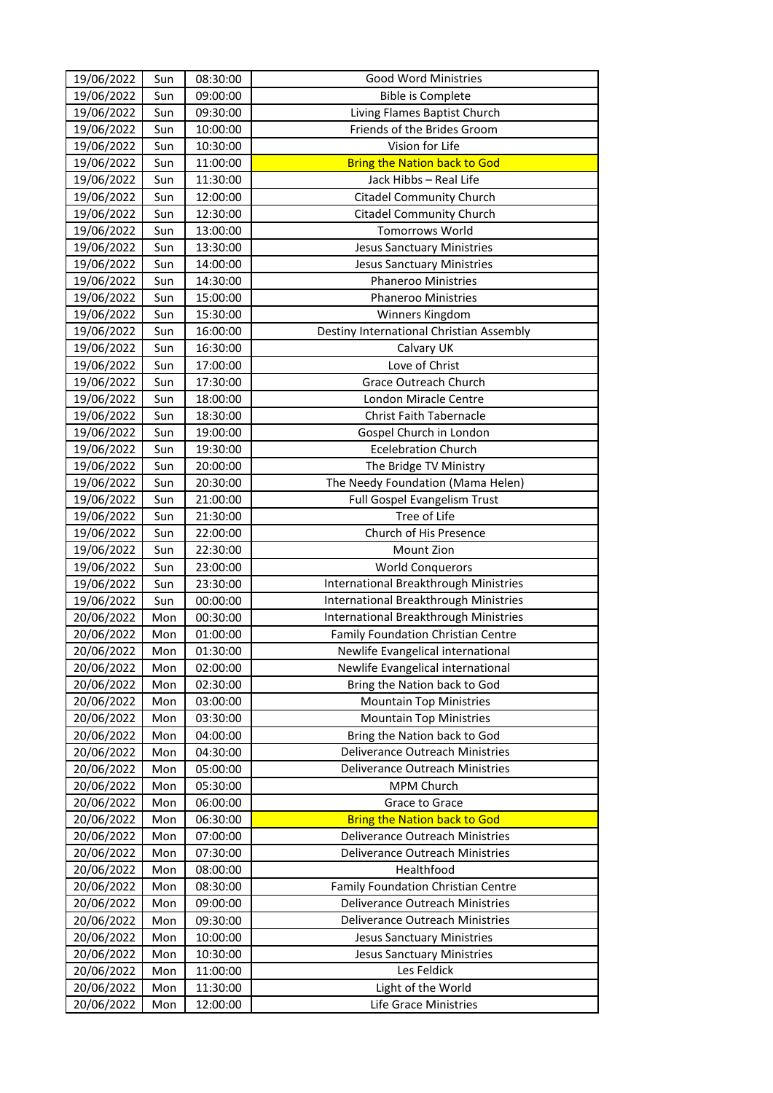| 19/06/2022<br>09:00:00<br>Sun<br><b>Bible is Complete</b><br>19/06/2022<br>Sun<br>09:30:00<br>Living Flames Baptist Church<br>Friends of the Brides Groom<br>19/06/2022<br>Sun<br>10:00:00<br>Vision for Life<br>19/06/2022<br>Sun<br>10:30:00<br>19/06/2022<br><b>Bring the Nation back to God</b><br>Sun<br>11:00:00<br>19/06/2022<br>Sun<br>11:30:00<br>Jack Hibbs - Real Life<br>19/06/2022<br>Sun<br>12:00:00<br><b>Citadel Community Church</b><br>19/06/2022<br>Sun<br>12:30:00<br><b>Citadel Community Church</b><br><b>Tomorrows World</b><br>19/06/2022<br>Sun<br>13:00:00<br>19/06/2022<br>13:30:00<br>Sun<br><b>Jesus Sanctuary Ministries</b><br>19/06/2022<br>Sun<br>14:00:00<br><b>Jesus Sanctuary Ministries</b><br>19/06/2022<br>Sun<br>14:30:00<br>Phaneroo Ministries<br>19/06/2022<br>Sun<br>15:00:00<br>Phaneroo Ministries<br>Sun<br>15:30:00<br>19/06/2022<br>Winners Kingdom<br>Sun<br>Destiny International Christian Assembly<br>19/06/2022<br>16:00:00<br>Calvary UK<br>19/06/2022<br>Sun<br>16:30:00<br>Sun<br>Love of Christ<br>19/06/2022<br>17:00:00<br>19/06/2022<br>Sun<br>17:30:00<br>Grace Outreach Church<br>19/06/2022<br>Sun<br>18:00:00<br>London Miracle Centre<br>19/06/2022<br>Sun<br>18:30:00<br><b>Christ Faith Tabernacle</b><br>Sun<br>19/06/2022<br>19:00:00<br>Gospel Church in London<br><b>Ecelebration Church</b><br>19/06/2022<br>19:30:00<br>Sun<br>19/06/2022<br>Sun<br>20:00:00<br>The Bridge TV Ministry<br>19/06/2022<br>The Needy Foundation (Mama Helen)<br>Sun<br>20:30:00<br>19/06/2022<br>Full Gospel Evangelism Trust<br>Sun<br>21:00:00<br>19/06/2022<br>Tree of Life<br>Sun<br>21:30:00<br>Church of His Presence<br>19/06/2022<br>Sun<br>22:00:00<br>22:30:00<br>Mount Zion<br>19/06/2022<br>Sun<br>19/06/2022<br>Sun<br>23:00:00<br><b>World Conquerors</b><br>International Breakthrough Ministries<br>19/06/2022<br>Sun<br>23:30:00<br>19/06/2022<br>Sun<br>00:00:00<br>International Breakthrough Ministries<br>20/06/2022<br>Mon<br>00:30:00<br>International Breakthrough Ministries<br>20/06/2022<br>Mon<br>01:00:00<br>Family Foundation Christian Centre<br>Newlife Evangelical international<br>20/06/2022<br>01:30:00<br>Mon<br>Newlife Evangelical international<br>20/06/2022<br>Mon<br>02:00:00<br>20/06/2022<br>Bring the Nation back to God<br>Mon<br>02:30:00<br>20/06/2022<br><b>Mountain Top Ministries</b><br>Mon<br>03:00:00<br>20/06/2022<br>Mon<br>03:30:00<br><b>Mountain Top Ministries</b><br>20/06/2022<br>Mon<br>04:00:00<br>Bring the Nation back to God<br>20/06/2022<br>Mon<br>04:30:00<br>Deliverance Outreach Ministries<br>20/06/2022<br>Deliverance Outreach Ministries<br>Mon<br>05:00:00<br>20/06/2022<br>Mon<br>MPM Church<br>05:30:00<br>20/06/2022<br>Mon<br>06:00:00<br>Grace to Grace<br>20/06/2022<br><b>Bring the Nation back to God</b><br>Mon<br>06:30:00<br>20/06/2022<br>07:00:00<br>Deliverance Outreach Ministries<br>Mon<br>Deliverance Outreach Ministries<br>20/06/2022<br>Mon<br>07:30:00<br>Healthfood<br>20/06/2022<br>08:00:00<br>Mon<br>Family Foundation Christian Centre<br>20/06/2022<br>Mon<br>08:30:00<br>20/06/2022<br>Deliverance Outreach Ministries<br>09:00:00<br>Mon<br>20/06/2022<br>Mon<br>09:30:00<br>Deliverance Outreach Ministries<br>20/06/2022<br>10:00:00<br>Mon<br><b>Jesus Sanctuary Ministries</b><br>20/06/2022<br>Mon<br>10:30:00<br><b>Jesus Sanctuary Ministries</b><br>Les Feldick<br>20/06/2022<br>11:00:00<br>Mon<br>20/06/2022<br>11:30:00<br>Light of the World<br>Mon<br>Life Grace Ministries<br>20/06/2022<br>Mon<br>12:00:00 | 19/06/2022 | Sun | 08:30:00 | <b>Good Word Ministries</b> |
|----------------------------------------------------------------------------------------------------------------------------------------------------------------------------------------------------------------------------------------------------------------------------------------------------------------------------------------------------------------------------------------------------------------------------------------------------------------------------------------------------------------------------------------------------------------------------------------------------------------------------------------------------------------------------------------------------------------------------------------------------------------------------------------------------------------------------------------------------------------------------------------------------------------------------------------------------------------------------------------------------------------------------------------------------------------------------------------------------------------------------------------------------------------------------------------------------------------------------------------------------------------------------------------------------------------------------------------------------------------------------------------------------------------------------------------------------------------------------------------------------------------------------------------------------------------------------------------------------------------------------------------------------------------------------------------------------------------------------------------------------------------------------------------------------------------------------------------------------------------------------------------------------------------------------------------------------------------------------------------------------------------------------------------------------------------------------------------------------------------------------------------------------------------------------------------------------------------------------------------------------------------------------------------------------------------------------------------------------------------------------------------------------------------------------------------------------------------------------------------------------------------------------------------------------------------------------------------------------------------------------------------------------------------------------------------------------------------------------------------------------------------------------------------------------------------------------------------------------------------------------------------------------------------------------------------------------------------------------------------------------------------------------------------------------------------------------------------------------------------------------------------------------------------------------------------------------------------------------------------------------------------------------------------------------------------------------------------------------------------------------------------------------------------------------------------------------------------------------------------------------------------------------------------------------------------------------------------------|------------|-----|----------|-----------------------------|
|                                                                                                                                                                                                                                                                                                                                                                                                                                                                                                                                                                                                                                                                                                                                                                                                                                                                                                                                                                                                                                                                                                                                                                                                                                                                                                                                                                                                                                                                                                                                                                                                                                                                                                                                                                                                                                                                                                                                                                                                                                                                                                                                                                                                                                                                                                                                                                                                                                                                                                                                                                                                                                                                                                                                                                                                                                                                                                                                                                                                                                                                                                                                                                                                                                                                                                                                                                                                                                                                                                                                                                                              |            |     |          |                             |
|                                                                                                                                                                                                                                                                                                                                                                                                                                                                                                                                                                                                                                                                                                                                                                                                                                                                                                                                                                                                                                                                                                                                                                                                                                                                                                                                                                                                                                                                                                                                                                                                                                                                                                                                                                                                                                                                                                                                                                                                                                                                                                                                                                                                                                                                                                                                                                                                                                                                                                                                                                                                                                                                                                                                                                                                                                                                                                                                                                                                                                                                                                                                                                                                                                                                                                                                                                                                                                                                                                                                                                                              |            |     |          |                             |
|                                                                                                                                                                                                                                                                                                                                                                                                                                                                                                                                                                                                                                                                                                                                                                                                                                                                                                                                                                                                                                                                                                                                                                                                                                                                                                                                                                                                                                                                                                                                                                                                                                                                                                                                                                                                                                                                                                                                                                                                                                                                                                                                                                                                                                                                                                                                                                                                                                                                                                                                                                                                                                                                                                                                                                                                                                                                                                                                                                                                                                                                                                                                                                                                                                                                                                                                                                                                                                                                                                                                                                                              |            |     |          |                             |
|                                                                                                                                                                                                                                                                                                                                                                                                                                                                                                                                                                                                                                                                                                                                                                                                                                                                                                                                                                                                                                                                                                                                                                                                                                                                                                                                                                                                                                                                                                                                                                                                                                                                                                                                                                                                                                                                                                                                                                                                                                                                                                                                                                                                                                                                                                                                                                                                                                                                                                                                                                                                                                                                                                                                                                                                                                                                                                                                                                                                                                                                                                                                                                                                                                                                                                                                                                                                                                                                                                                                                                                              |            |     |          |                             |
|                                                                                                                                                                                                                                                                                                                                                                                                                                                                                                                                                                                                                                                                                                                                                                                                                                                                                                                                                                                                                                                                                                                                                                                                                                                                                                                                                                                                                                                                                                                                                                                                                                                                                                                                                                                                                                                                                                                                                                                                                                                                                                                                                                                                                                                                                                                                                                                                                                                                                                                                                                                                                                                                                                                                                                                                                                                                                                                                                                                                                                                                                                                                                                                                                                                                                                                                                                                                                                                                                                                                                                                              |            |     |          |                             |
|                                                                                                                                                                                                                                                                                                                                                                                                                                                                                                                                                                                                                                                                                                                                                                                                                                                                                                                                                                                                                                                                                                                                                                                                                                                                                                                                                                                                                                                                                                                                                                                                                                                                                                                                                                                                                                                                                                                                                                                                                                                                                                                                                                                                                                                                                                                                                                                                                                                                                                                                                                                                                                                                                                                                                                                                                                                                                                                                                                                                                                                                                                                                                                                                                                                                                                                                                                                                                                                                                                                                                                                              |            |     |          |                             |
|                                                                                                                                                                                                                                                                                                                                                                                                                                                                                                                                                                                                                                                                                                                                                                                                                                                                                                                                                                                                                                                                                                                                                                                                                                                                                                                                                                                                                                                                                                                                                                                                                                                                                                                                                                                                                                                                                                                                                                                                                                                                                                                                                                                                                                                                                                                                                                                                                                                                                                                                                                                                                                                                                                                                                                                                                                                                                                                                                                                                                                                                                                                                                                                                                                                                                                                                                                                                                                                                                                                                                                                              |            |     |          |                             |
|                                                                                                                                                                                                                                                                                                                                                                                                                                                                                                                                                                                                                                                                                                                                                                                                                                                                                                                                                                                                                                                                                                                                                                                                                                                                                                                                                                                                                                                                                                                                                                                                                                                                                                                                                                                                                                                                                                                                                                                                                                                                                                                                                                                                                                                                                                                                                                                                                                                                                                                                                                                                                                                                                                                                                                                                                                                                                                                                                                                                                                                                                                                                                                                                                                                                                                                                                                                                                                                                                                                                                                                              |            |     |          |                             |
|                                                                                                                                                                                                                                                                                                                                                                                                                                                                                                                                                                                                                                                                                                                                                                                                                                                                                                                                                                                                                                                                                                                                                                                                                                                                                                                                                                                                                                                                                                                                                                                                                                                                                                                                                                                                                                                                                                                                                                                                                                                                                                                                                                                                                                                                                                                                                                                                                                                                                                                                                                                                                                                                                                                                                                                                                                                                                                                                                                                                                                                                                                                                                                                                                                                                                                                                                                                                                                                                                                                                                                                              |            |     |          |                             |
|                                                                                                                                                                                                                                                                                                                                                                                                                                                                                                                                                                                                                                                                                                                                                                                                                                                                                                                                                                                                                                                                                                                                                                                                                                                                                                                                                                                                                                                                                                                                                                                                                                                                                                                                                                                                                                                                                                                                                                                                                                                                                                                                                                                                                                                                                                                                                                                                                                                                                                                                                                                                                                                                                                                                                                                                                                                                                                                                                                                                                                                                                                                                                                                                                                                                                                                                                                                                                                                                                                                                                                                              |            |     |          |                             |
|                                                                                                                                                                                                                                                                                                                                                                                                                                                                                                                                                                                                                                                                                                                                                                                                                                                                                                                                                                                                                                                                                                                                                                                                                                                                                                                                                                                                                                                                                                                                                                                                                                                                                                                                                                                                                                                                                                                                                                                                                                                                                                                                                                                                                                                                                                                                                                                                                                                                                                                                                                                                                                                                                                                                                                                                                                                                                                                                                                                                                                                                                                                                                                                                                                                                                                                                                                                                                                                                                                                                                                                              |            |     |          |                             |
|                                                                                                                                                                                                                                                                                                                                                                                                                                                                                                                                                                                                                                                                                                                                                                                                                                                                                                                                                                                                                                                                                                                                                                                                                                                                                                                                                                                                                                                                                                                                                                                                                                                                                                                                                                                                                                                                                                                                                                                                                                                                                                                                                                                                                                                                                                                                                                                                                                                                                                                                                                                                                                                                                                                                                                                                                                                                                                                                                                                                                                                                                                                                                                                                                                                                                                                                                                                                                                                                                                                                                                                              |            |     |          |                             |
|                                                                                                                                                                                                                                                                                                                                                                                                                                                                                                                                                                                                                                                                                                                                                                                                                                                                                                                                                                                                                                                                                                                                                                                                                                                                                                                                                                                                                                                                                                                                                                                                                                                                                                                                                                                                                                                                                                                                                                                                                                                                                                                                                                                                                                                                                                                                                                                                                                                                                                                                                                                                                                                                                                                                                                                                                                                                                                                                                                                                                                                                                                                                                                                                                                                                                                                                                                                                                                                                                                                                                                                              |            |     |          |                             |
|                                                                                                                                                                                                                                                                                                                                                                                                                                                                                                                                                                                                                                                                                                                                                                                                                                                                                                                                                                                                                                                                                                                                                                                                                                                                                                                                                                                                                                                                                                                                                                                                                                                                                                                                                                                                                                                                                                                                                                                                                                                                                                                                                                                                                                                                                                                                                                                                                                                                                                                                                                                                                                                                                                                                                                                                                                                                                                                                                                                                                                                                                                                                                                                                                                                                                                                                                                                                                                                                                                                                                                                              |            |     |          |                             |
|                                                                                                                                                                                                                                                                                                                                                                                                                                                                                                                                                                                                                                                                                                                                                                                                                                                                                                                                                                                                                                                                                                                                                                                                                                                                                                                                                                                                                                                                                                                                                                                                                                                                                                                                                                                                                                                                                                                                                                                                                                                                                                                                                                                                                                                                                                                                                                                                                                                                                                                                                                                                                                                                                                                                                                                                                                                                                                                                                                                                                                                                                                                                                                                                                                                                                                                                                                                                                                                                                                                                                                                              |            |     |          |                             |
|                                                                                                                                                                                                                                                                                                                                                                                                                                                                                                                                                                                                                                                                                                                                                                                                                                                                                                                                                                                                                                                                                                                                                                                                                                                                                                                                                                                                                                                                                                                                                                                                                                                                                                                                                                                                                                                                                                                                                                                                                                                                                                                                                                                                                                                                                                                                                                                                                                                                                                                                                                                                                                                                                                                                                                                                                                                                                                                                                                                                                                                                                                                                                                                                                                                                                                                                                                                                                                                                                                                                                                                              |            |     |          |                             |
|                                                                                                                                                                                                                                                                                                                                                                                                                                                                                                                                                                                                                                                                                                                                                                                                                                                                                                                                                                                                                                                                                                                                                                                                                                                                                                                                                                                                                                                                                                                                                                                                                                                                                                                                                                                                                                                                                                                                                                                                                                                                                                                                                                                                                                                                                                                                                                                                                                                                                                                                                                                                                                                                                                                                                                                                                                                                                                                                                                                                                                                                                                                                                                                                                                                                                                                                                                                                                                                                                                                                                                                              |            |     |          |                             |
|                                                                                                                                                                                                                                                                                                                                                                                                                                                                                                                                                                                                                                                                                                                                                                                                                                                                                                                                                                                                                                                                                                                                                                                                                                                                                                                                                                                                                                                                                                                                                                                                                                                                                                                                                                                                                                                                                                                                                                                                                                                                                                                                                                                                                                                                                                                                                                                                                                                                                                                                                                                                                                                                                                                                                                                                                                                                                                                                                                                                                                                                                                                                                                                                                                                                                                                                                                                                                                                                                                                                                                                              |            |     |          |                             |
|                                                                                                                                                                                                                                                                                                                                                                                                                                                                                                                                                                                                                                                                                                                                                                                                                                                                                                                                                                                                                                                                                                                                                                                                                                                                                                                                                                                                                                                                                                                                                                                                                                                                                                                                                                                                                                                                                                                                                                                                                                                                                                                                                                                                                                                                                                                                                                                                                                                                                                                                                                                                                                                                                                                                                                                                                                                                                                                                                                                                                                                                                                                                                                                                                                                                                                                                                                                                                                                                                                                                                                                              |            |     |          |                             |
|                                                                                                                                                                                                                                                                                                                                                                                                                                                                                                                                                                                                                                                                                                                                                                                                                                                                                                                                                                                                                                                                                                                                                                                                                                                                                                                                                                                                                                                                                                                                                                                                                                                                                                                                                                                                                                                                                                                                                                                                                                                                                                                                                                                                                                                                                                                                                                                                                                                                                                                                                                                                                                                                                                                                                                                                                                                                                                                                                                                                                                                                                                                                                                                                                                                                                                                                                                                                                                                                                                                                                                                              |            |     |          |                             |
|                                                                                                                                                                                                                                                                                                                                                                                                                                                                                                                                                                                                                                                                                                                                                                                                                                                                                                                                                                                                                                                                                                                                                                                                                                                                                                                                                                                                                                                                                                                                                                                                                                                                                                                                                                                                                                                                                                                                                                                                                                                                                                                                                                                                                                                                                                                                                                                                                                                                                                                                                                                                                                                                                                                                                                                                                                                                                                                                                                                                                                                                                                                                                                                                                                                                                                                                                                                                                                                                                                                                                                                              |            |     |          |                             |
|                                                                                                                                                                                                                                                                                                                                                                                                                                                                                                                                                                                                                                                                                                                                                                                                                                                                                                                                                                                                                                                                                                                                                                                                                                                                                                                                                                                                                                                                                                                                                                                                                                                                                                                                                                                                                                                                                                                                                                                                                                                                                                                                                                                                                                                                                                                                                                                                                                                                                                                                                                                                                                                                                                                                                                                                                                                                                                                                                                                                                                                                                                                                                                                                                                                                                                                                                                                                                                                                                                                                                                                              |            |     |          |                             |
|                                                                                                                                                                                                                                                                                                                                                                                                                                                                                                                                                                                                                                                                                                                                                                                                                                                                                                                                                                                                                                                                                                                                                                                                                                                                                                                                                                                                                                                                                                                                                                                                                                                                                                                                                                                                                                                                                                                                                                                                                                                                                                                                                                                                                                                                                                                                                                                                                                                                                                                                                                                                                                                                                                                                                                                                                                                                                                                                                                                                                                                                                                                                                                                                                                                                                                                                                                                                                                                                                                                                                                                              |            |     |          |                             |
|                                                                                                                                                                                                                                                                                                                                                                                                                                                                                                                                                                                                                                                                                                                                                                                                                                                                                                                                                                                                                                                                                                                                                                                                                                                                                                                                                                                                                                                                                                                                                                                                                                                                                                                                                                                                                                                                                                                                                                                                                                                                                                                                                                                                                                                                                                                                                                                                                                                                                                                                                                                                                                                                                                                                                                                                                                                                                                                                                                                                                                                                                                                                                                                                                                                                                                                                                                                                                                                                                                                                                                                              |            |     |          |                             |
|                                                                                                                                                                                                                                                                                                                                                                                                                                                                                                                                                                                                                                                                                                                                                                                                                                                                                                                                                                                                                                                                                                                                                                                                                                                                                                                                                                                                                                                                                                                                                                                                                                                                                                                                                                                                                                                                                                                                                                                                                                                                                                                                                                                                                                                                                                                                                                                                                                                                                                                                                                                                                                                                                                                                                                                                                                                                                                                                                                                                                                                                                                                                                                                                                                                                                                                                                                                                                                                                                                                                                                                              |            |     |          |                             |
|                                                                                                                                                                                                                                                                                                                                                                                                                                                                                                                                                                                                                                                                                                                                                                                                                                                                                                                                                                                                                                                                                                                                                                                                                                                                                                                                                                                                                                                                                                                                                                                                                                                                                                                                                                                                                                                                                                                                                                                                                                                                                                                                                                                                                                                                                                                                                                                                                                                                                                                                                                                                                                                                                                                                                                                                                                                                                                                                                                                                                                                                                                                                                                                                                                                                                                                                                                                                                                                                                                                                                                                              |            |     |          |                             |
|                                                                                                                                                                                                                                                                                                                                                                                                                                                                                                                                                                                                                                                                                                                                                                                                                                                                                                                                                                                                                                                                                                                                                                                                                                                                                                                                                                                                                                                                                                                                                                                                                                                                                                                                                                                                                                                                                                                                                                                                                                                                                                                                                                                                                                                                                                                                                                                                                                                                                                                                                                                                                                                                                                                                                                                                                                                                                                                                                                                                                                                                                                                                                                                                                                                                                                                                                                                                                                                                                                                                                                                              |            |     |          |                             |
|                                                                                                                                                                                                                                                                                                                                                                                                                                                                                                                                                                                                                                                                                                                                                                                                                                                                                                                                                                                                                                                                                                                                                                                                                                                                                                                                                                                                                                                                                                                                                                                                                                                                                                                                                                                                                                                                                                                                                                                                                                                                                                                                                                                                                                                                                                                                                                                                                                                                                                                                                                                                                                                                                                                                                                                                                                                                                                                                                                                                                                                                                                                                                                                                                                                                                                                                                                                                                                                                                                                                                                                              |            |     |          |                             |
|                                                                                                                                                                                                                                                                                                                                                                                                                                                                                                                                                                                                                                                                                                                                                                                                                                                                                                                                                                                                                                                                                                                                                                                                                                                                                                                                                                                                                                                                                                                                                                                                                                                                                                                                                                                                                                                                                                                                                                                                                                                                                                                                                                                                                                                                                                                                                                                                                                                                                                                                                                                                                                                                                                                                                                                                                                                                                                                                                                                                                                                                                                                                                                                                                                                                                                                                                                                                                                                                                                                                                                                              |            |     |          |                             |
|                                                                                                                                                                                                                                                                                                                                                                                                                                                                                                                                                                                                                                                                                                                                                                                                                                                                                                                                                                                                                                                                                                                                                                                                                                                                                                                                                                                                                                                                                                                                                                                                                                                                                                                                                                                                                                                                                                                                                                                                                                                                                                                                                                                                                                                                                                                                                                                                                                                                                                                                                                                                                                                                                                                                                                                                                                                                                                                                                                                                                                                                                                                                                                                                                                                                                                                                                                                                                                                                                                                                                                                              |            |     |          |                             |
|                                                                                                                                                                                                                                                                                                                                                                                                                                                                                                                                                                                                                                                                                                                                                                                                                                                                                                                                                                                                                                                                                                                                                                                                                                                                                                                                                                                                                                                                                                                                                                                                                                                                                                                                                                                                                                                                                                                                                                                                                                                                                                                                                                                                                                                                                                                                                                                                                                                                                                                                                                                                                                                                                                                                                                                                                                                                                                                                                                                                                                                                                                                                                                                                                                                                                                                                                                                                                                                                                                                                                                                              |            |     |          |                             |
|                                                                                                                                                                                                                                                                                                                                                                                                                                                                                                                                                                                                                                                                                                                                                                                                                                                                                                                                                                                                                                                                                                                                                                                                                                                                                                                                                                                                                                                                                                                                                                                                                                                                                                                                                                                                                                                                                                                                                                                                                                                                                                                                                                                                                                                                                                                                                                                                                                                                                                                                                                                                                                                                                                                                                                                                                                                                                                                                                                                                                                                                                                                                                                                                                                                                                                                                                                                                                                                                                                                                                                                              |            |     |          |                             |
|                                                                                                                                                                                                                                                                                                                                                                                                                                                                                                                                                                                                                                                                                                                                                                                                                                                                                                                                                                                                                                                                                                                                                                                                                                                                                                                                                                                                                                                                                                                                                                                                                                                                                                                                                                                                                                                                                                                                                                                                                                                                                                                                                                                                                                                                                                                                                                                                                                                                                                                                                                                                                                                                                                                                                                                                                                                                                                                                                                                                                                                                                                                                                                                                                                                                                                                                                                                                                                                                                                                                                                                              |            |     |          |                             |
|                                                                                                                                                                                                                                                                                                                                                                                                                                                                                                                                                                                                                                                                                                                                                                                                                                                                                                                                                                                                                                                                                                                                                                                                                                                                                                                                                                                                                                                                                                                                                                                                                                                                                                                                                                                                                                                                                                                                                                                                                                                                                                                                                                                                                                                                                                                                                                                                                                                                                                                                                                                                                                                                                                                                                                                                                                                                                                                                                                                                                                                                                                                                                                                                                                                                                                                                                                                                                                                                                                                                                                                              |            |     |          |                             |
|                                                                                                                                                                                                                                                                                                                                                                                                                                                                                                                                                                                                                                                                                                                                                                                                                                                                                                                                                                                                                                                                                                                                                                                                                                                                                                                                                                                                                                                                                                                                                                                                                                                                                                                                                                                                                                                                                                                                                                                                                                                                                                                                                                                                                                                                                                                                                                                                                                                                                                                                                                                                                                                                                                                                                                                                                                                                                                                                                                                                                                                                                                                                                                                                                                                                                                                                                                                                                                                                                                                                                                                              |            |     |          |                             |
|                                                                                                                                                                                                                                                                                                                                                                                                                                                                                                                                                                                                                                                                                                                                                                                                                                                                                                                                                                                                                                                                                                                                                                                                                                                                                                                                                                                                                                                                                                                                                                                                                                                                                                                                                                                                                                                                                                                                                                                                                                                                                                                                                                                                                                                                                                                                                                                                                                                                                                                                                                                                                                                                                                                                                                                                                                                                                                                                                                                                                                                                                                                                                                                                                                                                                                                                                                                                                                                                                                                                                                                              |            |     |          |                             |
|                                                                                                                                                                                                                                                                                                                                                                                                                                                                                                                                                                                                                                                                                                                                                                                                                                                                                                                                                                                                                                                                                                                                                                                                                                                                                                                                                                                                                                                                                                                                                                                                                                                                                                                                                                                                                                                                                                                                                                                                                                                                                                                                                                                                                                                                                                                                                                                                                                                                                                                                                                                                                                                                                                                                                                                                                                                                                                                                                                                                                                                                                                                                                                                                                                                                                                                                                                                                                                                                                                                                                                                              |            |     |          |                             |
|                                                                                                                                                                                                                                                                                                                                                                                                                                                                                                                                                                                                                                                                                                                                                                                                                                                                                                                                                                                                                                                                                                                                                                                                                                                                                                                                                                                                                                                                                                                                                                                                                                                                                                                                                                                                                                                                                                                                                                                                                                                                                                                                                                                                                                                                                                                                                                                                                                                                                                                                                                                                                                                                                                                                                                                                                                                                                                                                                                                                                                                                                                                                                                                                                                                                                                                                                                                                                                                                                                                                                                                              |            |     |          |                             |
|                                                                                                                                                                                                                                                                                                                                                                                                                                                                                                                                                                                                                                                                                                                                                                                                                                                                                                                                                                                                                                                                                                                                                                                                                                                                                                                                                                                                                                                                                                                                                                                                                                                                                                                                                                                                                                                                                                                                                                                                                                                                                                                                                                                                                                                                                                                                                                                                                                                                                                                                                                                                                                                                                                                                                                                                                                                                                                                                                                                                                                                                                                                                                                                                                                                                                                                                                                                                                                                                                                                                                                                              |            |     |          |                             |
|                                                                                                                                                                                                                                                                                                                                                                                                                                                                                                                                                                                                                                                                                                                                                                                                                                                                                                                                                                                                                                                                                                                                                                                                                                                                                                                                                                                                                                                                                                                                                                                                                                                                                                                                                                                                                                                                                                                                                                                                                                                                                                                                                                                                                                                                                                                                                                                                                                                                                                                                                                                                                                                                                                                                                                                                                                                                                                                                                                                                                                                                                                                                                                                                                                                                                                                                                                                                                                                                                                                                                                                              |            |     |          |                             |
|                                                                                                                                                                                                                                                                                                                                                                                                                                                                                                                                                                                                                                                                                                                                                                                                                                                                                                                                                                                                                                                                                                                                                                                                                                                                                                                                                                                                                                                                                                                                                                                                                                                                                                                                                                                                                                                                                                                                                                                                                                                                                                                                                                                                                                                                                                                                                                                                                                                                                                                                                                                                                                                                                                                                                                                                                                                                                                                                                                                                                                                                                                                                                                                                                                                                                                                                                                                                                                                                                                                                                                                              |            |     |          |                             |
|                                                                                                                                                                                                                                                                                                                                                                                                                                                                                                                                                                                                                                                                                                                                                                                                                                                                                                                                                                                                                                                                                                                                                                                                                                                                                                                                                                                                                                                                                                                                                                                                                                                                                                                                                                                                                                                                                                                                                                                                                                                                                                                                                                                                                                                                                                                                                                                                                                                                                                                                                                                                                                                                                                                                                                                                                                                                                                                                                                                                                                                                                                                                                                                                                                                                                                                                                                                                                                                                                                                                                                                              |            |     |          |                             |
|                                                                                                                                                                                                                                                                                                                                                                                                                                                                                                                                                                                                                                                                                                                                                                                                                                                                                                                                                                                                                                                                                                                                                                                                                                                                                                                                                                                                                                                                                                                                                                                                                                                                                                                                                                                                                                                                                                                                                                                                                                                                                                                                                                                                                                                                                                                                                                                                                                                                                                                                                                                                                                                                                                                                                                                                                                                                                                                                                                                                                                                                                                                                                                                                                                                                                                                                                                                                                                                                                                                                                                                              |            |     |          |                             |
|                                                                                                                                                                                                                                                                                                                                                                                                                                                                                                                                                                                                                                                                                                                                                                                                                                                                                                                                                                                                                                                                                                                                                                                                                                                                                                                                                                                                                                                                                                                                                                                                                                                                                                                                                                                                                                                                                                                                                                                                                                                                                                                                                                                                                                                                                                                                                                                                                                                                                                                                                                                                                                                                                                                                                                                                                                                                                                                                                                                                                                                                                                                                                                                                                                                                                                                                                                                                                                                                                                                                                                                              |            |     |          |                             |
|                                                                                                                                                                                                                                                                                                                                                                                                                                                                                                                                                                                                                                                                                                                                                                                                                                                                                                                                                                                                                                                                                                                                                                                                                                                                                                                                                                                                                                                                                                                                                                                                                                                                                                                                                                                                                                                                                                                                                                                                                                                                                                                                                                                                                                                                                                                                                                                                                                                                                                                                                                                                                                                                                                                                                                                                                                                                                                                                                                                                                                                                                                                                                                                                                                                                                                                                                                                                                                                                                                                                                                                              |            |     |          |                             |
|                                                                                                                                                                                                                                                                                                                                                                                                                                                                                                                                                                                                                                                                                                                                                                                                                                                                                                                                                                                                                                                                                                                                                                                                                                                                                                                                                                                                                                                                                                                                                                                                                                                                                                                                                                                                                                                                                                                                                                                                                                                                                                                                                                                                                                                                                                                                                                                                                                                                                                                                                                                                                                                                                                                                                                                                                                                                                                                                                                                                                                                                                                                                                                                                                                                                                                                                                                                                                                                                                                                                                                                              |            |     |          |                             |
|                                                                                                                                                                                                                                                                                                                                                                                                                                                                                                                                                                                                                                                                                                                                                                                                                                                                                                                                                                                                                                                                                                                                                                                                                                                                                                                                                                                                                                                                                                                                                                                                                                                                                                                                                                                                                                                                                                                                                                                                                                                                                                                                                                                                                                                                                                                                                                                                                                                                                                                                                                                                                                                                                                                                                                                                                                                                                                                                                                                                                                                                                                                                                                                                                                                                                                                                                                                                                                                                                                                                                                                              |            |     |          |                             |
|                                                                                                                                                                                                                                                                                                                                                                                                                                                                                                                                                                                                                                                                                                                                                                                                                                                                                                                                                                                                                                                                                                                                                                                                                                                                                                                                                                                                                                                                                                                                                                                                                                                                                                                                                                                                                                                                                                                                                                                                                                                                                                                                                                                                                                                                                                                                                                                                                                                                                                                                                                                                                                                                                                                                                                                                                                                                                                                                                                                                                                                                                                                                                                                                                                                                                                                                                                                                                                                                                                                                                                                              |            |     |          |                             |
|                                                                                                                                                                                                                                                                                                                                                                                                                                                                                                                                                                                                                                                                                                                                                                                                                                                                                                                                                                                                                                                                                                                                                                                                                                                                                                                                                                                                                                                                                                                                                                                                                                                                                                                                                                                                                                                                                                                                                                                                                                                                                                                                                                                                                                                                                                                                                                                                                                                                                                                                                                                                                                                                                                                                                                                                                                                                                                                                                                                                                                                                                                                                                                                                                                                                                                                                                                                                                                                                                                                                                                                              |            |     |          |                             |
|                                                                                                                                                                                                                                                                                                                                                                                                                                                                                                                                                                                                                                                                                                                                                                                                                                                                                                                                                                                                                                                                                                                                                                                                                                                                                                                                                                                                                                                                                                                                                                                                                                                                                                                                                                                                                                                                                                                                                                                                                                                                                                                                                                                                                                                                                                                                                                                                                                                                                                                                                                                                                                                                                                                                                                                                                                                                                                                                                                                                                                                                                                                                                                                                                                                                                                                                                                                                                                                                                                                                                                                              |            |     |          |                             |
|                                                                                                                                                                                                                                                                                                                                                                                                                                                                                                                                                                                                                                                                                                                                                                                                                                                                                                                                                                                                                                                                                                                                                                                                                                                                                                                                                                                                                                                                                                                                                                                                                                                                                                                                                                                                                                                                                                                                                                                                                                                                                                                                                                                                                                                                                                                                                                                                                                                                                                                                                                                                                                                                                                                                                                                                                                                                                                                                                                                                                                                                                                                                                                                                                                                                                                                                                                                                                                                                                                                                                                                              |            |     |          |                             |
|                                                                                                                                                                                                                                                                                                                                                                                                                                                                                                                                                                                                                                                                                                                                                                                                                                                                                                                                                                                                                                                                                                                                                                                                                                                                                                                                                                                                                                                                                                                                                                                                                                                                                                                                                                                                                                                                                                                                                                                                                                                                                                                                                                                                                                                                                                                                                                                                                                                                                                                                                                                                                                                                                                                                                                                                                                                                                                                                                                                                                                                                                                                                                                                                                                                                                                                                                                                                                                                                                                                                                                                              |            |     |          |                             |
|                                                                                                                                                                                                                                                                                                                                                                                                                                                                                                                                                                                                                                                                                                                                                                                                                                                                                                                                                                                                                                                                                                                                                                                                                                                                                                                                                                                                                                                                                                                                                                                                                                                                                                                                                                                                                                                                                                                                                                                                                                                                                                                                                                                                                                                                                                                                                                                                                                                                                                                                                                                                                                                                                                                                                                                                                                                                                                                                                                                                                                                                                                                                                                                                                                                                                                                                                                                                                                                                                                                                                                                              |            |     |          |                             |
|                                                                                                                                                                                                                                                                                                                                                                                                                                                                                                                                                                                                                                                                                                                                                                                                                                                                                                                                                                                                                                                                                                                                                                                                                                                                                                                                                                                                                                                                                                                                                                                                                                                                                                                                                                                                                                                                                                                                                                                                                                                                                                                                                                                                                                                                                                                                                                                                                                                                                                                                                                                                                                                                                                                                                                                                                                                                                                                                                                                                                                                                                                                                                                                                                                                                                                                                                                                                                                                                                                                                                                                              |            |     |          |                             |
|                                                                                                                                                                                                                                                                                                                                                                                                                                                                                                                                                                                                                                                                                                                                                                                                                                                                                                                                                                                                                                                                                                                                                                                                                                                                                                                                                                                                                                                                                                                                                                                                                                                                                                                                                                                                                                                                                                                                                                                                                                                                                                                                                                                                                                                                                                                                                                                                                                                                                                                                                                                                                                                                                                                                                                                                                                                                                                                                                                                                                                                                                                                                                                                                                                                                                                                                                                                                                                                                                                                                                                                              |            |     |          |                             |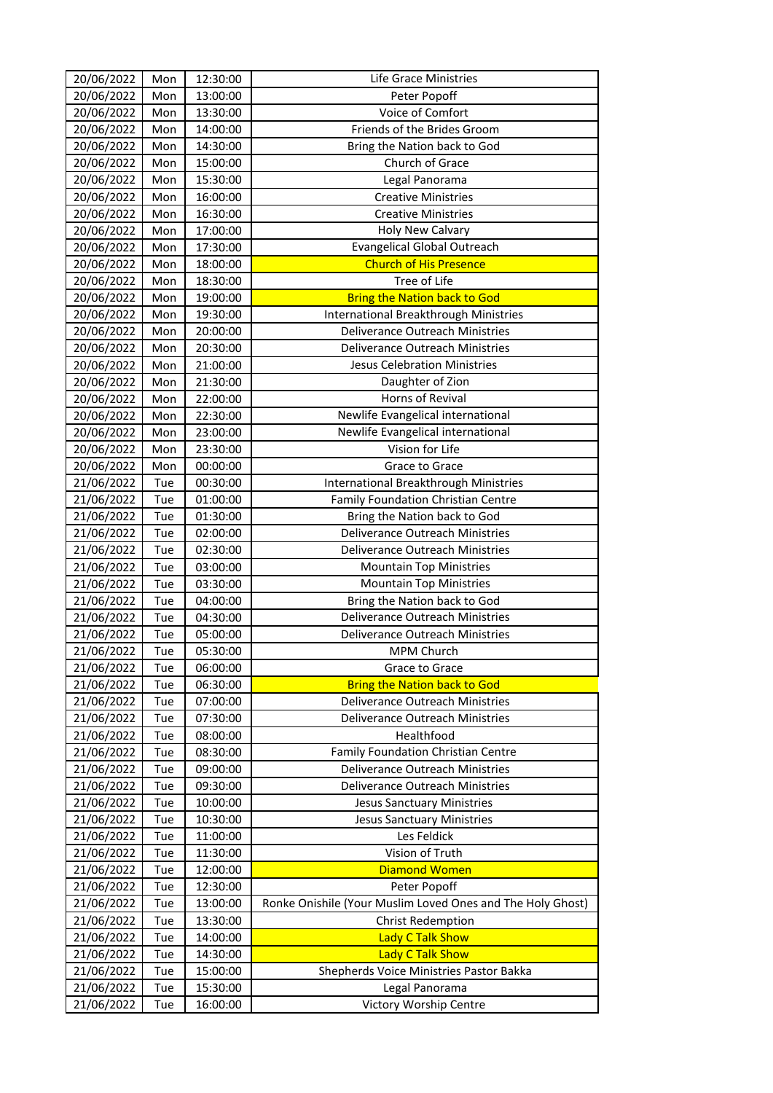| 20/06/2022 | Mon | 12:30:00 | Life Grace Ministries                                      |
|------------|-----|----------|------------------------------------------------------------|
| 20/06/2022 | Mon | 13:00:00 | Peter Popoff                                               |
| 20/06/2022 | Mon | 13:30:00 | Voice of Comfort                                           |
| 20/06/2022 | Mon | 14:00:00 | Friends of the Brides Groom                                |
| 20/06/2022 | Mon | 14:30:00 | Bring the Nation back to God                               |
| 20/06/2022 | Mon | 15:00:00 | Church of Grace                                            |
| 20/06/2022 | Mon | 15:30:00 | Legal Panorama                                             |
| 20/06/2022 | Mon | 16:00:00 | <b>Creative Ministries</b>                                 |
| 20/06/2022 | Mon | 16:30:00 | <b>Creative Ministries</b>                                 |
| 20/06/2022 | Mon | 17:00:00 | <b>Holy New Calvary</b>                                    |
| 20/06/2022 | Mon | 17:30:00 | <b>Evangelical Global Outreach</b>                         |
| 20/06/2022 | Mon | 18:00:00 | <b>Church of His Presence</b>                              |
| 20/06/2022 | Mon | 18:30:00 | Tree of Life                                               |
| 20/06/2022 | Mon | 19:00:00 | <b>Bring the Nation back to God</b>                        |
| 20/06/2022 | Mon | 19:30:00 | International Breakthrough Ministries                      |
| 20/06/2022 | Mon | 20:00:00 | Deliverance Outreach Ministries                            |
| 20/06/2022 | Mon | 20:30:00 | Deliverance Outreach Ministries                            |
| 20/06/2022 | Mon | 21:00:00 | <b>Jesus Celebration Ministries</b>                        |
| 20/06/2022 | Mon | 21:30:00 | Daughter of Zion                                           |
| 20/06/2022 | Mon | 22:00:00 | Horns of Revival                                           |
| 20/06/2022 | Mon | 22:30:00 | Newlife Evangelical international                          |
| 20/06/2022 | Mon | 23:00:00 | Newlife Evangelical international                          |
| 20/06/2022 | Mon | 23:30:00 | Vision for Life                                            |
| 20/06/2022 | Mon | 00:00:00 | Grace to Grace                                             |
| 21/06/2022 | Tue | 00:30:00 | International Breakthrough Ministries                      |
| 21/06/2022 | Tue | 01:00:00 | <b>Family Foundation Christian Centre</b>                  |
| 21/06/2022 | Tue | 01:30:00 | Bring the Nation back to God                               |
| 21/06/2022 | Tue | 02:00:00 | Deliverance Outreach Ministries                            |
| 21/06/2022 | Tue | 02:30:00 | Deliverance Outreach Ministries                            |
| 21/06/2022 | Tue | 03:00:00 | <b>Mountain Top Ministries</b>                             |
| 21/06/2022 | Tue | 03:30:00 | <b>Mountain Top Ministries</b>                             |
| 21/06/2022 | Tue | 04:00:00 | Bring the Nation back to God                               |
| 21/06/2022 | Tue | 04:30:00 | Deliverance Outreach Ministries                            |
| 21/06/2022 | Tue | 05:00:00 | Deliverance Outreach Ministries                            |
| 21/06/2022 | Tue | 05:30:00 | MPM Church                                                 |
| 21/06/2022 | Tue | 06:00:00 | Grace to Grace                                             |
| 21/06/2022 | Tue | 06:30:00 | <b>Bring the Nation back to God</b>                        |
| 21/06/2022 | Tue | 07:00:00 | Deliverance Outreach Ministries                            |
| 21/06/2022 | Tue | 07:30:00 | Deliverance Outreach Ministries                            |
| 21/06/2022 | Tue | 08:00:00 | Healthfood                                                 |
| 21/06/2022 | Tue | 08:30:00 | Family Foundation Christian Centre                         |
| 21/06/2022 | Tue | 09:00:00 | Deliverance Outreach Ministries                            |
| 21/06/2022 | Tue | 09:30:00 | Deliverance Outreach Ministries                            |
| 21/06/2022 | Tue | 10:00:00 | <b>Jesus Sanctuary Ministries</b>                          |
| 21/06/2022 | Tue | 10:30:00 | <b>Jesus Sanctuary Ministries</b>                          |
| 21/06/2022 | Tue | 11:00:00 | Les Feldick                                                |
| 21/06/2022 | Tue | 11:30:00 | Vision of Truth                                            |
| 21/06/2022 | Tue | 12:00:00 | <b>Diamond Women</b>                                       |
| 21/06/2022 | Tue | 12:30:00 | Peter Popoff                                               |
| 21/06/2022 | Tue | 13:00:00 | Ronke Onishile (Your Muslim Loved Ones and The Holy Ghost) |
| 21/06/2022 | Tue | 13:30:00 | <b>Christ Redemption</b>                                   |
| 21/06/2022 | Tue | 14:00:00 | <b>Lady C Talk Show</b>                                    |
| 21/06/2022 | Tue | 14:30:00 | <b>Lady C Talk Show</b>                                    |
| 21/06/2022 | Tue | 15:00:00 | Shepherds Voice Ministries Pastor Bakka                    |
| 21/06/2022 | Tue | 15:30:00 | Legal Panorama                                             |
| 21/06/2022 | Tue | 16:00:00 | Victory Worship Centre                                     |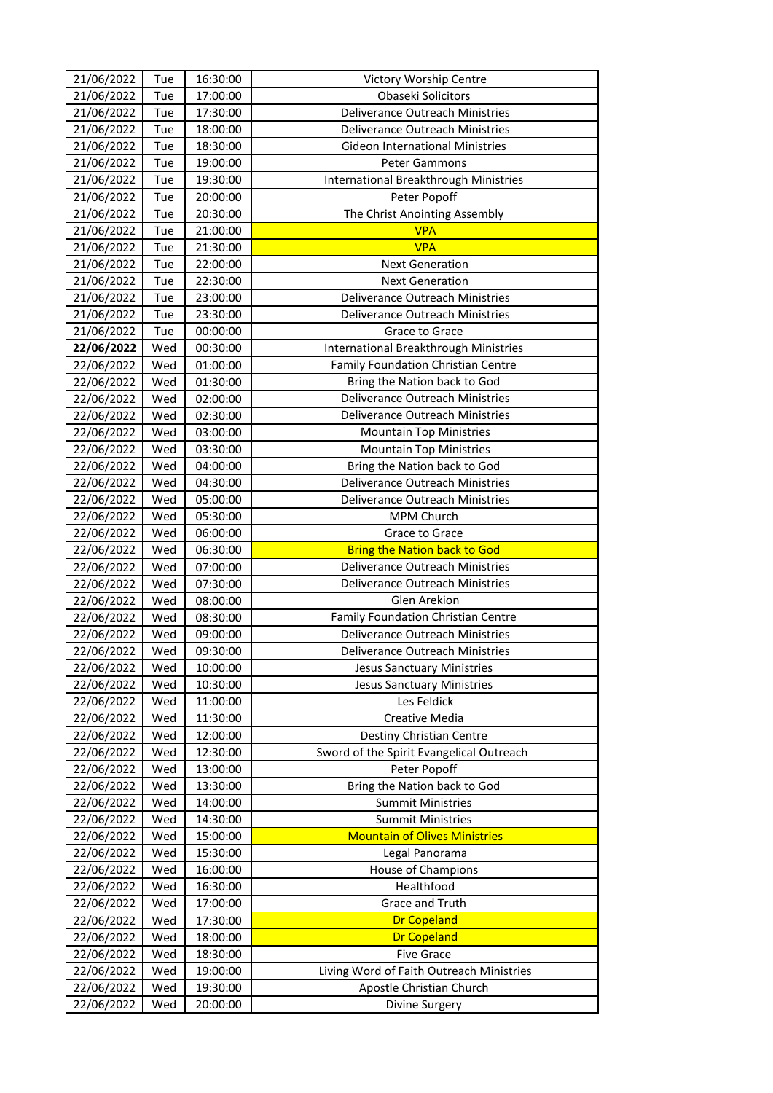| 21/06/2022 | Tue        | 16:30:00 | Victory Worship Centre                   |
|------------|------------|----------|------------------------------------------|
| 21/06/2022 | Tue        | 17:00:00 | Obaseki Solicitors                       |
| 21/06/2022 | Tue        | 17:30:00 | Deliverance Outreach Ministries          |
| 21/06/2022 | Tue        | 18:00:00 | Deliverance Outreach Ministries          |
| 21/06/2022 | Tue        | 18:30:00 | <b>Gideon International Ministries</b>   |
| 21/06/2022 | Tue        | 19:00:00 | <b>Peter Gammons</b>                     |
| 21/06/2022 | Tue        | 19:30:00 | International Breakthrough Ministries    |
| 21/06/2022 | Tue        | 20:00:00 | Peter Popoff                             |
| 21/06/2022 | Tue        | 20:30:00 | The Christ Anointing Assembly            |
| 21/06/2022 | Tue        | 21:00:00 | <b>VPA</b>                               |
| 21/06/2022 | Tue        | 21:30:00 | <b>VPA</b>                               |
| 21/06/2022 | Tue        | 22:00:00 | <b>Next Generation</b>                   |
| 21/06/2022 | Tue        | 22:30:00 | <b>Next Generation</b>                   |
| 21/06/2022 | Tue        | 23:00:00 | Deliverance Outreach Ministries          |
| 21/06/2022 | Tue        | 23:30:00 | Deliverance Outreach Ministries          |
| 21/06/2022 | Tue        | 00:00:00 | Grace to Grace                           |
| 22/06/2022 | Wed        | 00:30:00 | International Breakthrough Ministries    |
| 22/06/2022 | Wed        | 01:00:00 | Family Foundation Christian Centre       |
| 22/06/2022 | Wed        | 01:30:00 | Bring the Nation back to God             |
| 22/06/2022 | Wed        | 02:00:00 | Deliverance Outreach Ministries          |
| 22/06/2022 | Wed        | 02:30:00 | Deliverance Outreach Ministries          |
| 22/06/2022 | Wed        | 03:00:00 | <b>Mountain Top Ministries</b>           |
| 22/06/2022 | Wed        | 03:30:00 | <b>Mountain Top Ministries</b>           |
| 22/06/2022 | Wed        | 04:00:00 | Bring the Nation back to God             |
| 22/06/2022 | Wed        | 04:30:00 | Deliverance Outreach Ministries          |
| 22/06/2022 | Wed        | 05:00:00 | Deliverance Outreach Ministries          |
| 22/06/2022 | Wed        | 05:30:00 | MPM Church                               |
| 22/06/2022 | Wed        | 06:00:00 | Grace to Grace                           |
| 22/06/2022 | Wed        | 06:30:00 | <b>Bring the Nation back to God</b>      |
| 22/06/2022 | Wed        | 07:00:00 | Deliverance Outreach Ministries          |
| 22/06/2022 | Wed        | 07:30:00 | Deliverance Outreach Ministries          |
| 22/06/2022 | Wed        | 08:00:00 | Glen Arekion                             |
| 22/06/2022 | Wed        | 08:30:00 | Family Foundation Christian Centre       |
| 22/06/2022 | Wed        | 09:00:00 | Deliverance Outreach Ministries          |
| 22/06/2022 | Wed        | 09:30:00 | Deliverance Outreach Ministries          |
| 22/06/2022 | Wed        | 10:00:00 | <b>Jesus Sanctuary Ministries</b>        |
| 22/06/2022 | Wed        | 10:30:00 | <b>Jesus Sanctuary Ministries</b>        |
| 22/06/2022 | Wed        | 11:00:00 | Les Feldick                              |
| 22/06/2022 | Wed        | 11:30:00 | Creative Media                           |
| 22/06/2022 | Wed        | 12:00:00 | Destiny Christian Centre                 |
| 22/06/2022 | Wed        | 12:30:00 | Sword of the Spirit Evangelical Outreach |
| 22/06/2022 | Wed        | 13:00:00 | Peter Popoff                             |
| 22/06/2022 | Wed        | 13:30:00 | Bring the Nation back to God             |
| 22/06/2022 | Wed        | 14:00:00 | <b>Summit Ministries</b>                 |
| 22/06/2022 | Wed        | 14:30:00 | <b>Summit Ministries</b>                 |
| 22/06/2022 | Wed        | 15:00:00 | <b>Mountain of Olives Ministries</b>     |
| 22/06/2022 | Wed        | 15:30:00 | Legal Panorama                           |
| 22/06/2022 | Wed        | 16:00:00 | House of Champions                       |
| 22/06/2022 | Wed        | 16:30:00 | Healthfood                               |
| 22/06/2022 | Wed        | 17:00:00 | Grace and Truth                          |
| 22/06/2022 | Wed        | 17:30:00 | <b>Dr Copeland</b>                       |
| 22/06/2022 | Wed        | 18:00:00 | <b>Dr Copeland</b>                       |
| 22/06/2022 | Wed        | 18:30:00 | <b>Five Grace</b>                        |
| 22/06/2022 |            | 19:00:00 | Living Word of Faith Outreach Ministries |
| 22/06/2022 | Wed<br>Wed | 19:30:00 | Apostle Christian Church                 |
|            |            |          |                                          |
| 22/06/2022 | Wed        | 20:00:00 | Divine Surgery                           |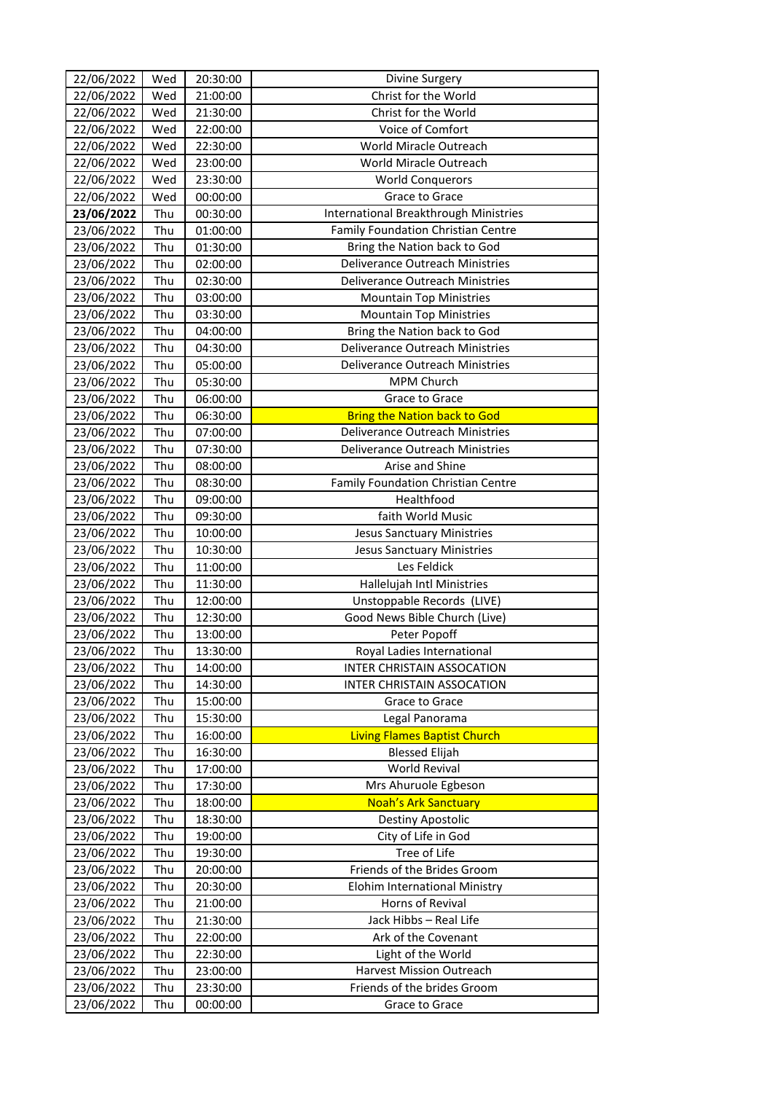| 22/06/2022 | Wed | 20:30:00             | Divine Surgery                                 |
|------------|-----|----------------------|------------------------------------------------|
| 22/06/2022 | Wed | 21:00:00             | Christ for the World                           |
| 22/06/2022 | Wed | 21:30:00             | Christ for the World                           |
| 22/06/2022 | Wed | 22:00:00             | Voice of Comfort                               |
| 22/06/2022 | Wed | 22:30:00             | World Miracle Outreach                         |
| 22/06/2022 | Wed | 23:00:00             | World Miracle Outreach                         |
| 22/06/2022 | Wed | 23:30:00             | <b>World Conquerors</b>                        |
| 22/06/2022 | Wed | 00:00:00             | Grace to Grace                                 |
| 23/06/2022 | Thu | 00:30:00             | International Breakthrough Ministries          |
| 23/06/2022 | Thu | 01:00:00             | Family Foundation Christian Centre             |
| 23/06/2022 | Thu | 01:30:00             | Bring the Nation back to God                   |
| 23/06/2022 | Thu | 02:00:00             | Deliverance Outreach Ministries                |
| 23/06/2022 | Thu | 02:30:00             | Deliverance Outreach Ministries                |
| 23/06/2022 | Thu | 03:00:00             | <b>Mountain Top Ministries</b>                 |
| 23/06/2022 | Thu | 03:30:00             | <b>Mountain Top Ministries</b>                 |
| 23/06/2022 | Thu | 04:00:00             | Bring the Nation back to God                   |
| 23/06/2022 | Thu | 04:30:00             | Deliverance Outreach Ministries                |
| 23/06/2022 | Thu | 05:00:00             | Deliverance Outreach Ministries                |
| 23/06/2022 | Thu | 05:30:00             | MPM Church                                     |
| 23/06/2022 | Thu | 06:00:00             | Grace to Grace                                 |
| 23/06/2022 | Thu | 06:30:00             | <b>Bring the Nation back to God</b>            |
| 23/06/2022 | Thu | 07:00:00             | Deliverance Outreach Ministries                |
| 23/06/2022 | Thu | 07:30:00             | Deliverance Outreach Ministries                |
| 23/06/2022 | Thu | 08:00:00             | Arise and Shine                                |
| 23/06/2022 | Thu | 08:30:00             | Family Foundation Christian Centre             |
| 23/06/2022 | Thu | 09:00:00             | Healthfood                                     |
| 23/06/2022 | Thu | 09:30:00             | faith World Music                              |
| 23/06/2022 | Thu | 10:00:00             | <b>Jesus Sanctuary Ministries</b>              |
| 23/06/2022 | Thu | 10:30:00             | <b>Jesus Sanctuary Ministries</b>              |
| 23/06/2022 | Thu | 11:00:00             | Les Feldick                                    |
| 23/06/2022 | Thu | 11:30:00             | Hallelujah Intl Ministries                     |
| 23/06/2022 | Thu | 12:00:00             | Unstoppable Records (LIVE)                     |
| 23/06/2022 | Thu | 12:30:00             | Good News Bible Church (Live)                  |
| 23/06/2022 | Thu | 13:00:00             | Peter Popoff                                   |
| 23/06/2022 | Thu | 13:30:00             | Royal Ladies International                     |
| 23/06/2022 | Thu | 14:00:00             | <b>INTER CHRISTAIN ASSOCATION</b>              |
| 23/06/2022 | Thu | 14:30:00             | <b>INTER CHRISTAIN ASSOCATION</b>              |
| 23/06/2022 | Thu | 15:00:00             | Grace to Grace                                 |
| 23/06/2022 | Thu | 15:30:00             | Legal Panorama                                 |
| 23/06/2022 | Thu | 16:00:00             | <b>Living Flames Baptist Church</b>            |
| 23/06/2022 | Thu | 16:30:00             | <b>Blessed Elijah</b>                          |
| 23/06/2022 | Thu | 17:00:00             | World Revival                                  |
| 23/06/2022 | Thu | 17:30:00             | Mrs Ahuruole Egbeson                           |
| 23/06/2022 | Thu | 18:00:00             | <b>Noah's Ark Sanctuary</b>                    |
| 23/06/2022 | Thu | 18:30:00             | Destiny Apostolic                              |
| 23/06/2022 | Thu | 19:00:00             | City of Life in God                            |
| 23/06/2022 | Thu | 19:30:00             | Tree of Life                                   |
| 23/06/2022 | Thu | 20:00:00             | Friends of the Brides Groom                    |
| 23/06/2022 | Thu | 20:30:00             | Elohim International Ministry                  |
| 23/06/2022 | Thu | 21:00:00             | Horns of Revival                               |
| 23/06/2022 | Thu | 21:30:00             | Jack Hibbs - Real Life                         |
| 23/06/2022 | Thu |                      | Ark of the Covenant                            |
|            |     | 22:00:00<br>22:30:00 |                                                |
| 23/06/2022 | Thu |                      | Light of the World<br>Harvest Mission Outreach |
| 23/06/2022 | Thu | 23:00:00             | Friends of the brides Groom                    |
| 23/06/2022 | Thu | 23:30:00             |                                                |
| 23/06/2022 | Thu | 00:00:00             | Grace to Grace                                 |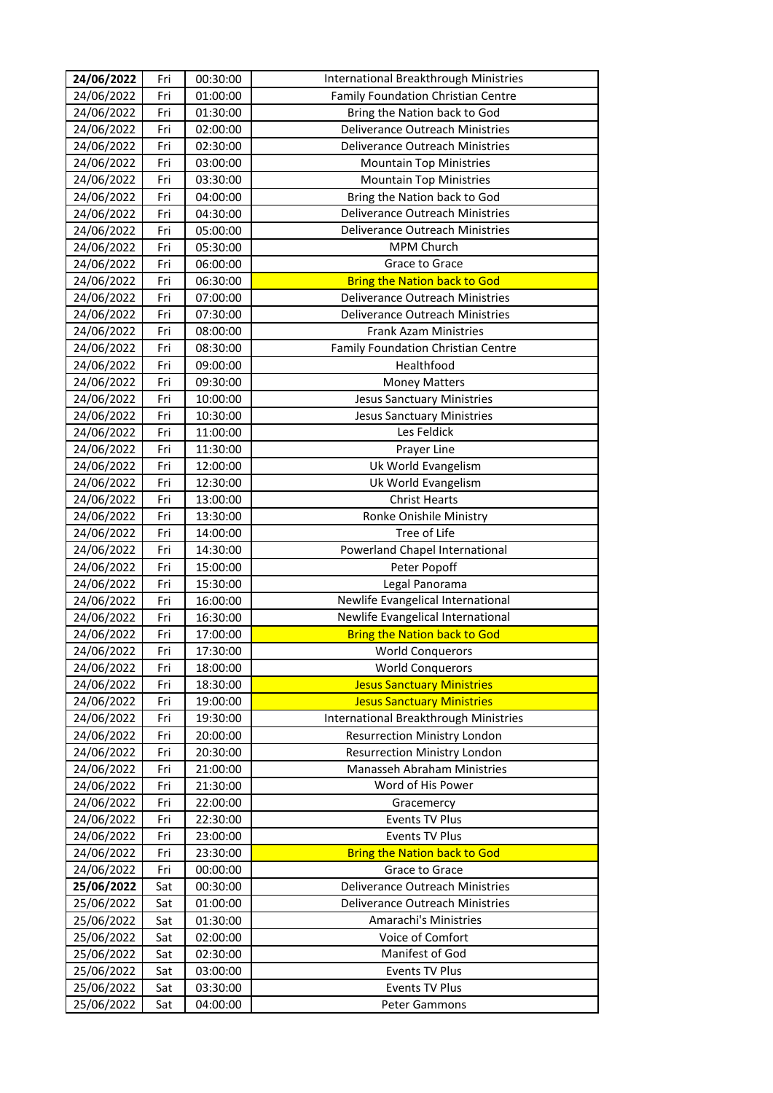| 24/06/2022 | Fri | 00:30:00 | International Breakthrough Ministries  |
|------------|-----|----------|----------------------------------------|
| 24/06/2022 | Fri | 01:00:00 | Family Foundation Christian Centre     |
| 24/06/2022 | Fri | 01:30:00 | Bring the Nation back to God           |
| 24/06/2022 | Fri | 02:00:00 | Deliverance Outreach Ministries        |
| 24/06/2022 | Fri | 02:30:00 | Deliverance Outreach Ministries        |
| 24/06/2022 | Fri | 03:00:00 | <b>Mountain Top Ministries</b>         |
| 24/06/2022 | Fri | 03:30:00 | <b>Mountain Top Ministries</b>         |
| 24/06/2022 | Fri | 04:00:00 | Bring the Nation back to God           |
| 24/06/2022 | Fri | 04:30:00 | Deliverance Outreach Ministries        |
| 24/06/2022 | Fri | 05:00:00 | Deliverance Outreach Ministries        |
| 24/06/2022 | Fri | 05:30:00 | MPM Church                             |
| 24/06/2022 | Fri | 06:00:00 | Grace to Grace                         |
| 24/06/2022 | Fri | 06:30:00 | <b>Bring the Nation back to God</b>    |
| 24/06/2022 | Fri | 07:00:00 | Deliverance Outreach Ministries        |
| 24/06/2022 | Fri | 07:30:00 | <b>Deliverance Outreach Ministries</b> |
| 24/06/2022 | Fri | 08:00:00 | <b>Frank Azam Ministries</b>           |
| 24/06/2022 | Fri | 08:30:00 | Family Foundation Christian Centre     |
| 24/06/2022 | Fri | 09:00:00 | Healthfood                             |
| 24/06/2022 | Fri | 09:30:00 | <b>Money Matters</b>                   |
| 24/06/2022 | Fri | 10:00:00 | <b>Jesus Sanctuary Ministries</b>      |
| 24/06/2022 | Fri | 10:30:00 | <b>Jesus Sanctuary Ministries</b>      |
| 24/06/2022 | Fri | 11:00:00 | Les Feldick                            |
| 24/06/2022 | Fri | 11:30:00 | Prayer Line                            |
| 24/06/2022 | Fri | 12:00:00 | Uk World Evangelism                    |
| 24/06/2022 | Fri | 12:30:00 | Uk World Evangelism                    |
| 24/06/2022 | Fri | 13:00:00 | <b>Christ Hearts</b>                   |
| 24/06/2022 | Fri | 13:30:00 | Ronke Onishile Ministry                |
| 24/06/2022 | Fri | 14:00:00 | Tree of Life                           |
| 24/06/2022 | Fri | 14:30:00 | Powerland Chapel International         |
| 24/06/2022 | Fri | 15:00:00 | Peter Popoff                           |
| 24/06/2022 | Fri | 15:30:00 | Legal Panorama                         |
| 24/06/2022 | Fri | 16:00:00 | Newlife Evangelical International      |
| 24/06/2022 | Fri | 16:30:00 | Newlife Evangelical International      |
| 24/06/2022 | Fri | 17:00:00 | <b>Bring the Nation back to God</b>    |
| 24/06/2022 | Fri | 17:30:00 | <b>World Conquerors</b>                |
| 24/06/2022 | Fri | 18:00:00 | <b>World Conquerors</b>                |
| 24/06/2022 | Fri | 18:30:00 | <b>Jesus Sanctuary Ministries</b>      |
| 24/06/2022 | Fri | 19:00:00 | <b>Jesus Sanctuary Ministries</b>      |
| 24/06/2022 | Fri | 19:30:00 | International Breakthrough Ministries  |
| 24/06/2022 | Fri | 20:00:00 | <b>Resurrection Ministry London</b>    |
| 24/06/2022 | Fri | 20:30:00 | <b>Resurrection Ministry London</b>    |
| 24/06/2022 | Fri | 21:00:00 | Manasseh Abraham Ministries            |
| 24/06/2022 | Fri | 21:30:00 | Word of His Power                      |
| 24/06/2022 | Fri | 22:00:00 | Gracemercy                             |
| 24/06/2022 | Fri | 22:30:00 | <b>Events TV Plus</b>                  |
| 24/06/2022 | Fri | 23:00:00 | Events TV Plus                         |
| 24/06/2022 | Fri | 23:30:00 | <b>Bring the Nation back to God</b>    |
| 24/06/2022 | Fri | 00:00:00 | Grace to Grace                         |
| 25/06/2022 | Sat | 00:30:00 | Deliverance Outreach Ministries        |
| 25/06/2022 | Sat | 01:00:00 | <b>Deliverance Outreach Ministries</b> |
| 25/06/2022 | Sat | 01:30:00 | Amarachi's Ministries                  |
| 25/06/2022 | Sat | 02:00:00 | Voice of Comfort                       |
| 25/06/2022 | Sat | 02:30:00 | Manifest of God                        |
| 25/06/2022 | Sat | 03:00:00 | Events TV Plus                         |
| 25/06/2022 | Sat | 03:30:00 | Events TV Plus                         |
| 25/06/2022 | Sat | 04:00:00 | Peter Gammons                          |
|            |     |          |                                        |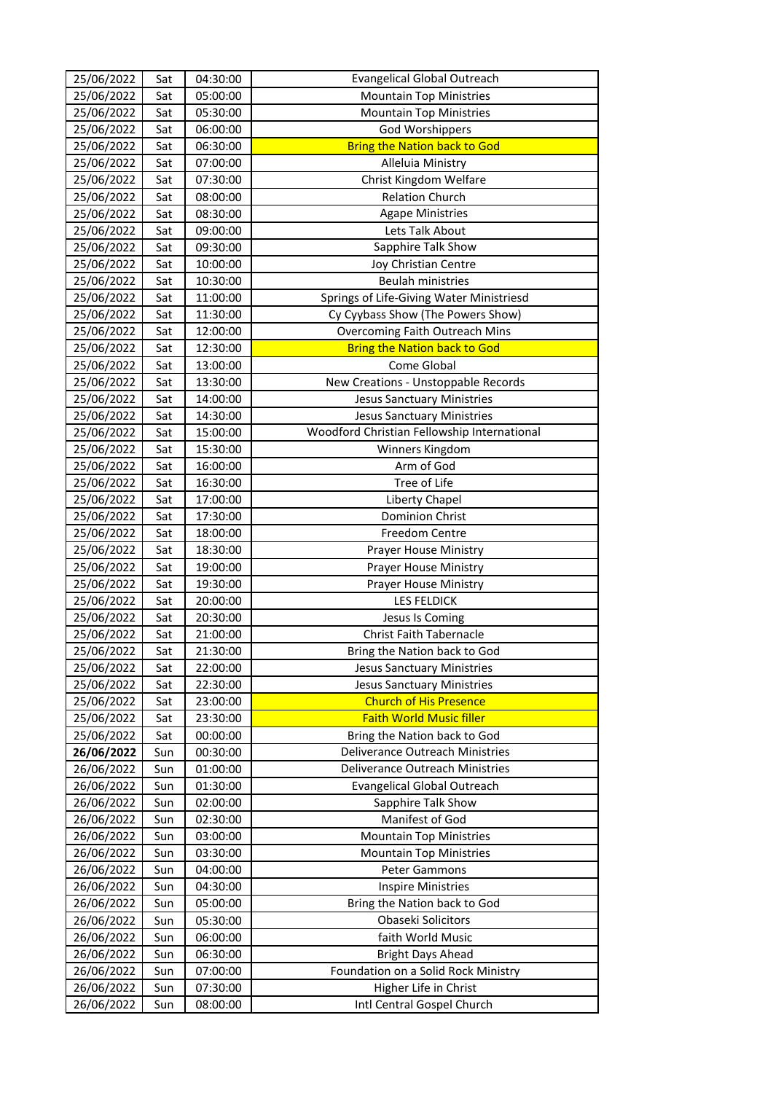| 25/06/2022 | Sat | 04:30:00 | <b>Evangelical Global Outreach</b>          |
|------------|-----|----------|---------------------------------------------|
| 25/06/2022 | Sat | 05:00:00 | <b>Mountain Top Ministries</b>              |
| 25/06/2022 | Sat | 05:30:00 | <b>Mountain Top Ministries</b>              |
| 25/06/2022 | Sat | 06:00:00 | <b>God Worshippers</b>                      |
| 25/06/2022 | Sat | 06:30:00 | <b>Bring the Nation back to God</b>         |
| 25/06/2022 | Sat | 07:00:00 | Alleluia Ministry                           |
| 25/06/2022 | Sat | 07:30:00 | Christ Kingdom Welfare                      |
| 25/06/2022 | Sat | 08:00:00 | <b>Relation Church</b>                      |
| 25/06/2022 | Sat | 08:30:00 | <b>Agape Ministries</b>                     |
| 25/06/2022 | Sat | 09:00:00 | Lets Talk About                             |
| 25/06/2022 | Sat | 09:30:00 | Sapphire Talk Show                          |
| 25/06/2022 | Sat | 10:00:00 | Joy Christian Centre                        |
| 25/06/2022 | Sat | 10:30:00 | <b>Beulah ministries</b>                    |
| 25/06/2022 | Sat | 11:00:00 | Springs of Life-Giving Water Ministriesd    |
| 25/06/2022 | Sat | 11:30:00 | Cy Cyybass Show (The Powers Show)           |
| 25/06/2022 | Sat | 12:00:00 | Overcoming Faith Outreach Mins              |
| 25/06/2022 | Sat | 12:30:00 | <b>Bring the Nation back to God</b>         |
| 25/06/2022 | Sat | 13:00:00 | Come Global                                 |
| 25/06/2022 | Sat | 13:30:00 | New Creations - Unstoppable Records         |
| 25/06/2022 | Sat | 14:00:00 | <b>Jesus Sanctuary Ministries</b>           |
| 25/06/2022 | Sat | 14:30:00 | <b>Jesus Sanctuary Ministries</b>           |
| 25/06/2022 | Sat | 15:00:00 | Woodford Christian Fellowship International |
| 25/06/2022 | Sat | 15:30:00 | Winners Kingdom                             |
| 25/06/2022 | Sat | 16:00:00 | Arm of God                                  |
| 25/06/2022 | Sat | 16:30:00 | Tree of Life                                |
| 25/06/2022 | Sat | 17:00:00 | Liberty Chapel                              |
| 25/06/2022 | Sat | 17:30:00 | <b>Dominion Christ</b>                      |
| 25/06/2022 | Sat | 18:00:00 | <b>Freedom Centre</b>                       |
| 25/06/2022 | Sat | 18:30:00 | Prayer House Ministry                       |
| 25/06/2022 | Sat | 19:00:00 | Prayer House Ministry                       |
| 25/06/2022 | Sat | 19:30:00 | Prayer House Ministry                       |
| 25/06/2022 | Sat | 20:00:00 | <b>LES FELDICK</b>                          |
| 25/06/2022 | Sat | 20:30:00 | Jesus Is Coming                             |
| 25/06/2022 | Sat | 21:00:00 | Christ Faith Tabernacle                     |
| 25/06/2022 | Sat | 21:30:00 | Bring the Nation back to God                |
| 25/06/2022 | Sat | 22:00:00 | <b>Jesus Sanctuary Ministries</b>           |
| 25/06/2022 | Sat | 22:30:00 | <b>Jesus Sanctuary Ministries</b>           |
| 25/06/2022 | Sat | 23:00:00 | <b>Church of His Presence</b>               |
| 25/06/2022 | Sat | 23:30:00 | <b>Faith World Music filler</b>             |
| 25/06/2022 | Sat | 00:00:00 | Bring the Nation back to God                |
| 26/06/2022 | Sun | 00:30:00 | Deliverance Outreach Ministries             |
| 26/06/2022 | Sun | 01:00:00 | Deliverance Outreach Ministries             |
| 26/06/2022 | Sun | 01:30:00 | <b>Evangelical Global Outreach</b>          |
| 26/06/2022 | Sun | 02:00:00 | Sapphire Talk Show                          |
| 26/06/2022 | Sun | 02:30:00 | Manifest of God                             |
| 26/06/2022 | Sun | 03:00:00 | <b>Mountain Top Ministries</b>              |
| 26/06/2022 | Sun | 03:30:00 | <b>Mountain Top Ministries</b>              |
| 26/06/2022 | Sun | 04:00:00 | Peter Gammons                               |
| 26/06/2022 | Sun | 04:30:00 | <b>Inspire Ministries</b>                   |
| 26/06/2022 | Sun | 05:00:00 | Bring the Nation back to God                |
| 26/06/2022 | Sun | 05:30:00 | Obaseki Solicitors                          |
| 26/06/2022 | Sun | 06:00:00 | faith World Music                           |
| 26/06/2022 | Sun | 06:30:00 | <b>Bright Days Ahead</b>                    |
| 26/06/2022 | Sun | 07:00:00 | Foundation on a Solid Rock Ministry         |
| 26/06/2022 | Sun | 07:30:00 | Higher Life in Christ                       |
| 26/06/2022 | Sun | 08:00:00 | Intl Central Gospel Church                  |
|            |     |          |                                             |